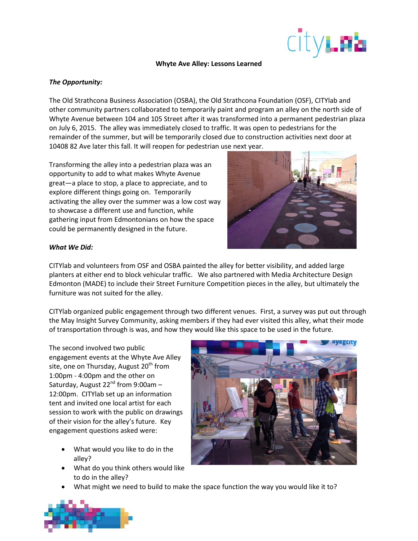

#### **Whyte Ave Alley: Lessons Learned**

### *The Opportunity:*

The Old Strathcona Business Association (OSBA), the Old Strathcona Foundation (OSF), CITYlab and other community partners collaborated to temporarily paint and program an alley on the north side of Whyte Avenue between 104 and 105 Street after it was transformed into a permanent pedestrian plaza on July 6, 2015. The alley was immediately closed to traffic. It was open to pedestrians for the remainder of the summer, but will be temporarily closed due to construction activities next door at 10408 82 Ave later this fall. It will reopen for pedestrian use next year.

Transforming the alley into a pedestrian plaza was an opportunity to add to what makes Whyte Avenue great—a place to stop, a place to appreciate, and to explore different things going on. Temporarily activating the alley over the summer was a low cost way to showcase a different use and function, while gathering input from Edmontonians on how the space could be permanently designed in the future.



#### *What We Did:*

CITYlab and volunteers from OSF and OSBA painted the alley for better visibility, and added large planters at either end to block vehicular traffic. We also partnered with Media Architecture Design Edmonton (MADE) to include their Street Furniture Competition pieces in the alley, but ultimately the furniture was not suited for the alley.

CITYlab organized public engagement through two different venues. First, a survey was put out through the May Insight Survey Community, asking members if they had ever visited this alley, what their mode of transportation through is was, and how they would like this space to be used in the future.

The second involved two public engagement events at the Whyte Ave Alley site, one on Thursday, August  $20<sup>th</sup>$  from 1:00pm - 4:00pm and the other on Saturday, August  $22^{nd}$  from 9:00am -12:00pm. CITYlab set up an information tent and invited one local artist for each session to work with the public on drawings of their vision for the alley's future. Key engagement questions asked were:

- What would you like to do in the alley?
- What do you think others would like to do in the alley?



• What might we need to build to make the space function the way you would like it to?

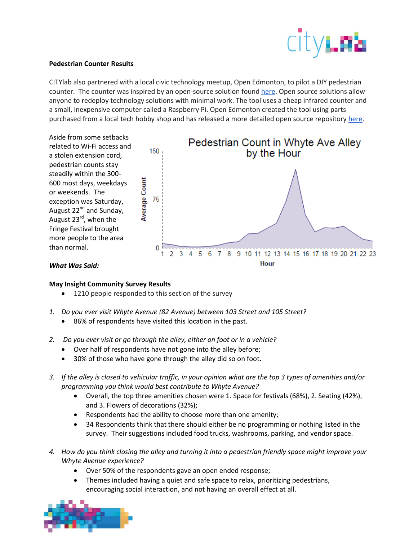

# **Pedestrian Counter Results**

CITYlab also partnered with a local civic technology meetup, Open Edmonton, to pilot a DIY pedestrian counter. The counter was inspired by an open-source solution found [here.](http://www.instructables.com/id/How-to-build-a-People-Counter-with-Raspberry-Pi-an/?ALLSTEPS) Open source solutions allow anyone to redeploy technology solutions with minimal work. The tool uses a cheap infrared counter and a small, inexpensive computer called a Raspberry Pi. Open Edmonton created the tool using parts purchased from a local tech hobby shop and has released a more detailed open source repository [here.](https://github.com/BGluth/Pi-Pedestrian-Counter)



# *What Was Said:*

# **May Insight Community Survey Results**

- 1210 people responded to this section of the survey
- *1. Do you ever visit Whyte Avenue (82 Avenue) between 103 Street and 105 Street?*
	- 86% of respondents have visited this location in the past.
- *2. Do you ever visit or go through the alley, either on foot or in a vehicle?*
	- Over half of respondents have not gone into the alley before;
	- 30% of those who have gone through the alley did so on foot.
- *3. If the alley is closed to vehicular traffic, in your opinion what are the top 3 types of amenities and/or programming you think would best contribute to Whyte Avenue?*
	- Overall, the top three amenities chosen were 1. Space for festivals (68%), 2. Seating (42%), and 3. Flowers of decorations (32%);
	- Respondents had the ability to choose more than one amenity;
	- 34 Respondents think that there should either be no programming or nothing listed in the survey. Their suggestions included food trucks, washrooms, parking, and vendor space.
- *4. How do you think closing the alley and turning it into a pedestrian friendly space might improve your Whyte Avenue experience?*
	- Over 50% of the respondents gave an open ended response;
	- Themes included having a quiet and safe space to relax, prioritizing pedestrians, encouraging social interaction, and not having an overall effect at all.

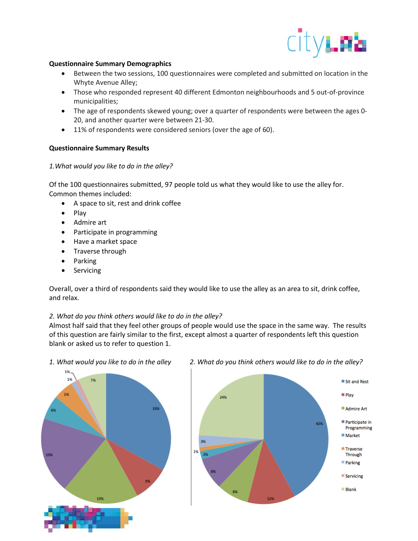

### **Questionnaire Summary Demographics**

- Between the two sessions, 100 questionnaires were completed and submitted on location in the Whyte Avenue Alley;
- Those who responded represent 40 different Edmonton neighbourhoods and 5 out-of-province municipalities;
- The age of respondents skewed young; over a quarter of respondents were between the ages 0- 20, and another quarter were between 21-30.
- 11% of respondents were considered seniors (over the age of 60).

# **Questionnaire Summary Results**

#### *1.What would you like to do in the alley?*

Of the 100 questionnaires submitted, 97 people told us what they would like to use the alley for. Common themes included:

- A space to sit, rest and drink coffee
- Play
- Admire art
- Participate in programming
- Have a market space
- Traverse through
- Parking
- **Servicing**

Overall, over a third of respondents said they would like to use the alley as an area to sit, drink coffee, and relax.

# *2. What do you think others would like to do in the alley?*

Almost half said that they feel other groups of people would use the space in the same way. The results of this question are fairly similar to the first, except almost a quarter of respondents left this question blank or asked us to refer to question 1.

1% 1% 7% 33%



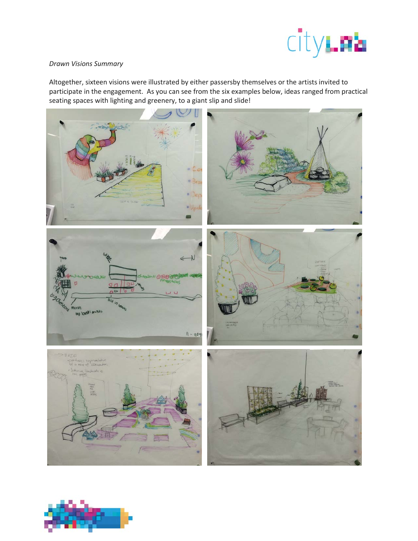

### *Drawn Visions Summary*

Altogether, sixteen visions were illustrated by either passersby themselves or the artists invited to participate in the engagement. As you can see from the six examples below, ideas ranged from practical seating spaces with lighting and greenery, to a giant slip and slide!